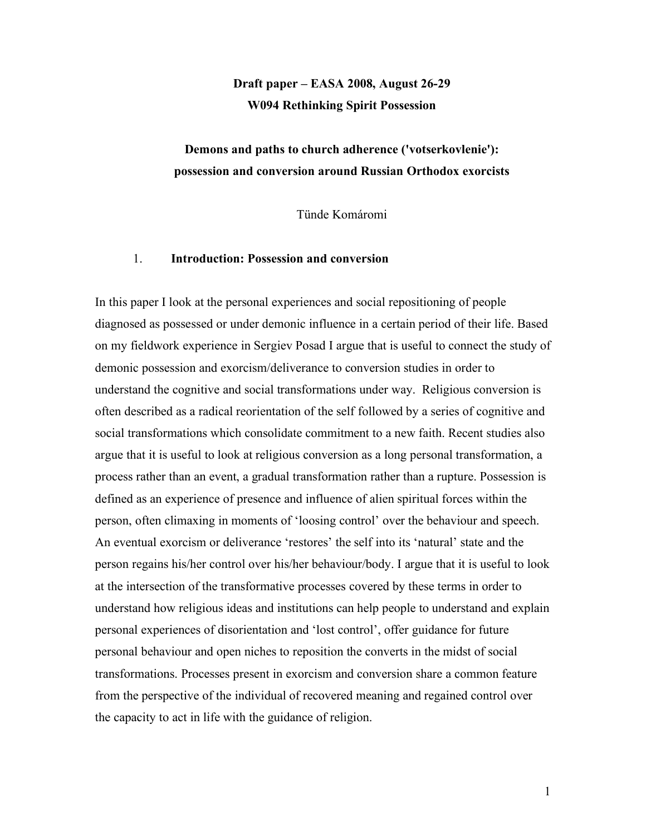# **Draft paper – EASA 2008, August 26-29 W094 Rethinking Spirit Possession**

## **Demons and paths to church adherence ('votserkovlenie'): possession and conversion around Russian Orthodox exorcists**

Tünde Komáromi

## 1. **Introduction: Possession and conversion**

In this paper I look at the personal experiences and social repositioning of people diagnosed as possessed or under demonic influence in a certain period of their life. Based on my fieldwork experience in Sergiev Posad I argue that is useful to connect the study of demonic possession and exorcism/deliverance to conversion studies in order to understand the cognitive and social transformations under way. Religious conversion is often described as a radical reorientation of the self followed by a series of cognitive and social transformations which consolidate commitment to a new faith. Recent studies also argue that it is useful to look at religious conversion as a long personal transformation, a process rather than an event, a gradual transformation rather than a rupture. Possession is defined as an experience of presence and influence of alien spiritual forces within the person, often climaxing in moments of 'loosing control' over the behaviour and speech. An eventual exorcism or deliverance 'restores' the self into its 'natural' state and the person regains his/her control over his/her behaviour/body. I argue that it is useful to look at the intersection of the transformative processes covered by these terms in order to understand how religious ideas and institutions can help people to understand and explain personal experiences of disorientation and 'lost control', offer guidance for future personal behaviour and open niches to reposition the converts in the midst of social transformations. Processes present in exorcism and conversion share a common feature from the perspective of the individual of recovered meaning and regained control over the capacity to act in life with the guidance of religion.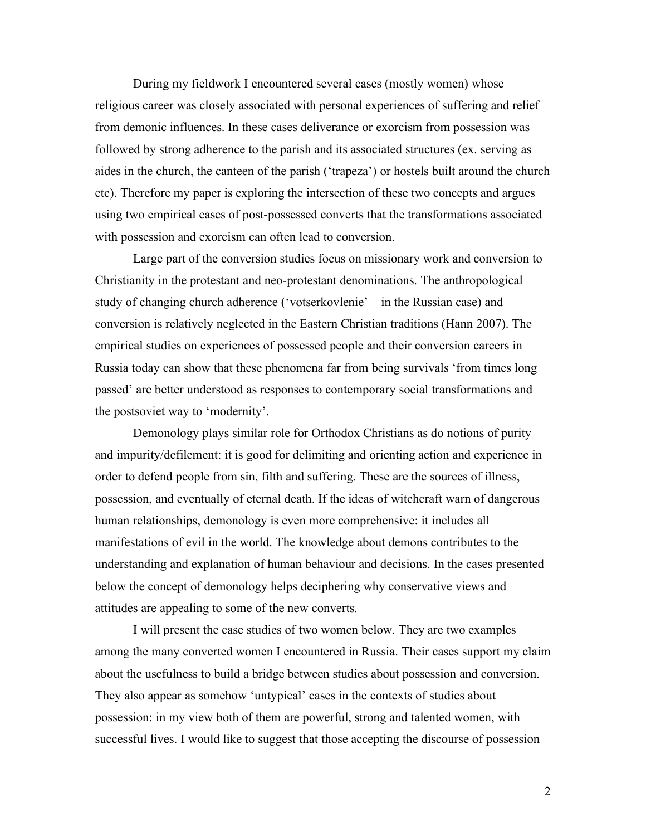During my fieldwork I encountered several cases (mostly women) whose religious career was closely associated with personal experiences of suffering and relief from demonic influences. In these cases deliverance or exorcism from possession was followed by strong adherence to the parish and its associated structures (ex. serving as aides in the church, the canteen of the parish ('trapeza') or hostels built around the church etc). Therefore my paper is exploring the intersection of these two concepts and argues using two empirical cases of post-possessed converts that the transformations associated with possession and exorcism can often lead to conversion.

Large part of the conversion studies focus on missionary work and conversion to Christianity in the protestant and neo-protestant denominations. The anthropological study of changing church adherence ('votserkovlenie' – in the Russian case) and conversion is relatively neglected in the Eastern Christian traditions (Hann 2007). The empirical studies on experiences of possessed people and their conversion careers in Russia today can show that these phenomena far from being survivals 'from times long passed' are better understood as responses to contemporary social transformations and the postsoviet way to 'modernity'.

Demonology plays similar role for Orthodox Christians as do notions of purity and impurity/defilement: it is good for delimiting and orienting action and experience in order to defend people from sin, filth and suffering. These are the sources of illness, possession, and eventually of eternal death. If the ideas of witchcraft warn of dangerous human relationships, demonology is even more comprehensive: it includes all manifestations of evil in the world. The knowledge about demons contributes to the understanding and explanation of human behaviour and decisions. In the cases presented below the concept of demonology helps deciphering why conservative views and attitudes are appealing to some of the new converts.

I will present the case studies of two women below. They are two examples among the many converted women I encountered in Russia. Their cases support my claim about the usefulness to build a bridge between studies about possession and conversion. They also appear as somehow 'untypical' cases in the contexts of studies about possession: in my view both of them are powerful, strong and talented women, with successful lives. I would like to suggest that those accepting the discourse of possession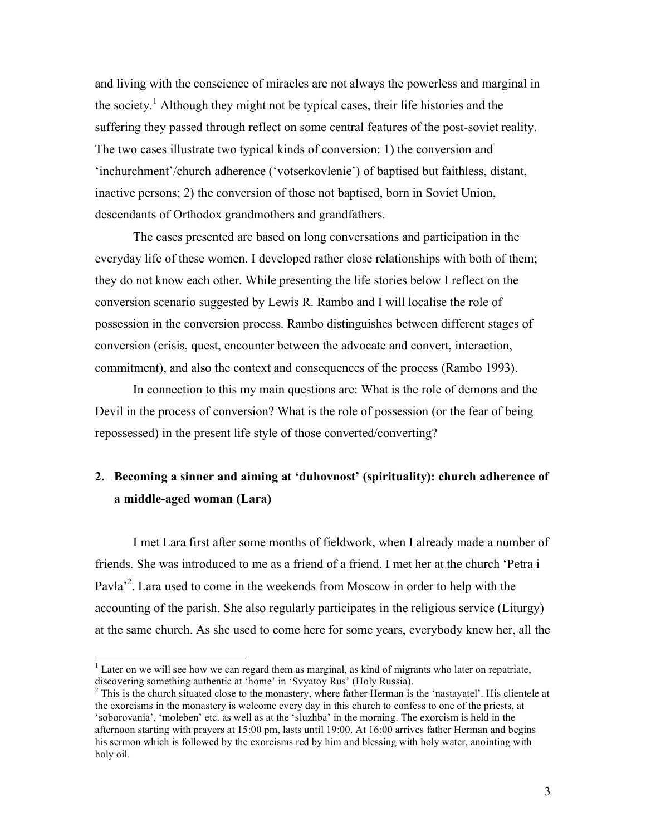and living with the conscience of miracles are not always the powerless and marginal in the society.<sup>1</sup> Although they might not be typical cases, their life histories and the suffering they passed through reflect on some central features of the post-soviet reality. The two cases illustrate two typical kinds of conversion: 1) the conversion and 'inchurchment'/church adherence ('votserkovlenie') of baptised but faithless, distant, inactive persons; 2) the conversion of those not baptised, born in Soviet Union, descendants of Orthodox grandmothers and grandfathers.

The cases presented are based on long conversations and participation in the everyday life of these women. I developed rather close relationships with both of them; they do not know each other. While presenting the life stories below I reflect on the conversion scenario suggested by Lewis R. Rambo and I will localise the role of possession in the conversion process. Rambo distinguishes between different stages of conversion (crisis, quest, encounter between the advocate and convert, interaction, commitment), and also the context and consequences of the process (Rambo 1993).

In connection to this my main questions are: What is the role of demons and the Devil in the process of conversion? What is the role of possession (or the fear of being repossessed) in the present life style of those converted/converting?

# **2. Becoming a sinner and aiming at 'duhovnost' (spirituality): church adherence of a middle-aged woman (Lara)**

I met Lara first after some months of fieldwork, when I already made a number of friends. She was introduced to me as a friend of a friend. I met her at the church 'Petra i Pavla<sup>2</sup>. Lara used to come in the weekends from Moscow in order to help with the accounting of the parish. She also regularly participates in the religious service (Liturgy) at the same church. As she used to come here for some years, everybody knew her, all the

<sup>&</sup>lt;sup>1</sup> Later on we will see how we can regard them as marginal, as kind of migrants who later on repatriate, discovering something authentic at 'home' in 'Svyatoy Rus' (Holy Russia).

 $^2$  This is the church situated close to the monastery, where father Herman is the 'nastayatel'. His clientele at the exorcisms in the monastery is welcome every day in this church to confess to one of the priests, at 'soborovania', 'moleben' etc. as well as at the 'sluzhba' in the morning. The exorcism is held in the afternoon starting with prayers at 15:00 pm, lasts until 19:00. At 16:00 arrives father Herman and begins his sermon which is followed by the exorcisms red by him and blessing with holy water, anointing with holy oil.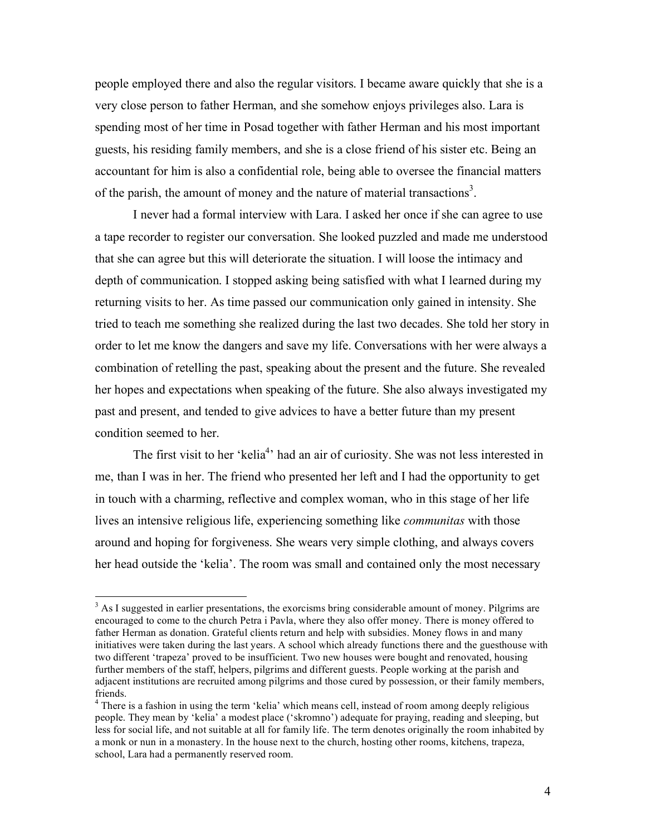people employed there and also the regular visitors. I became aware quickly that she is a very close person to father Herman, and she somehow enjoys privileges also. Lara is spending most of her time in Posad together with father Herman and his most important guests, his residing family members, and she is a close friend of his sister etc. Being an accountant for him is also a confidential role, being able to oversee the financial matters of the parish, the amount of money and the nature of material transactions<sup>3</sup>.

I never had a formal interview with Lara. I asked her once if she can agree to use a tape recorder to register our conversation. She looked puzzled and made me understood that she can agree but this will deteriorate the situation. I will loose the intimacy and depth of communication. I stopped asking being satisfied with what I learned during my returning visits to her. As time passed our communication only gained in intensity. She tried to teach me something she realized during the last two decades. She told her story in order to let me know the dangers and save my life. Conversations with her were always a combination of retelling the past, speaking about the present and the future. She revealed her hopes and expectations when speaking of the future. She also always investigated my past and present, and tended to give advices to have a better future than my present condition seemed to her.

The first visit to her 'kelia<sup>4</sup>' had an air of curiosity. She was not less interested in me, than I was in her. The friend who presented her left and I had the opportunity to get in touch with a charming, reflective and complex woman, who in this stage of her life lives an intensive religious life, experiencing something like *communitas* with those around and hoping for forgiveness. She wears very simple clothing, and always covers her head outside the 'kelia'. The room was small and contained only the most necessary

 $3$  As I suggested in earlier presentations, the exorcisms bring considerable amount of money. Pilgrims are encouraged to come to the church Petra i Pavla, where they also offer money. There is money offered to father Herman as donation. Grateful clients return and help with subsidies. Money flows in and many initiatives were taken during the last years. A school which already functions there and the guesthouse with two different 'trapeza' proved to be insufficient. Two new houses were bought and renovated, housing further members of the staff, helpers, pilgrims and different guests. People working at the parish and adjacent institutions are recruited among pilgrims and those cured by possession, or their family members, friends. <sup>4</sup> There is <sup>a</sup> fashion in using the term 'kelia' which means cell, instead of room among deeply religious

people. They mean by 'kelia' a modest place ('skromno') adequate for praying, reading and sleeping, but less for social life, and not suitable at all for family life. The term denotes originally the room inhabited by a monk or nun in a monastery. In the house next to the church, hosting other rooms, kitchens, trapeza, school, Lara had a permanently reserved room.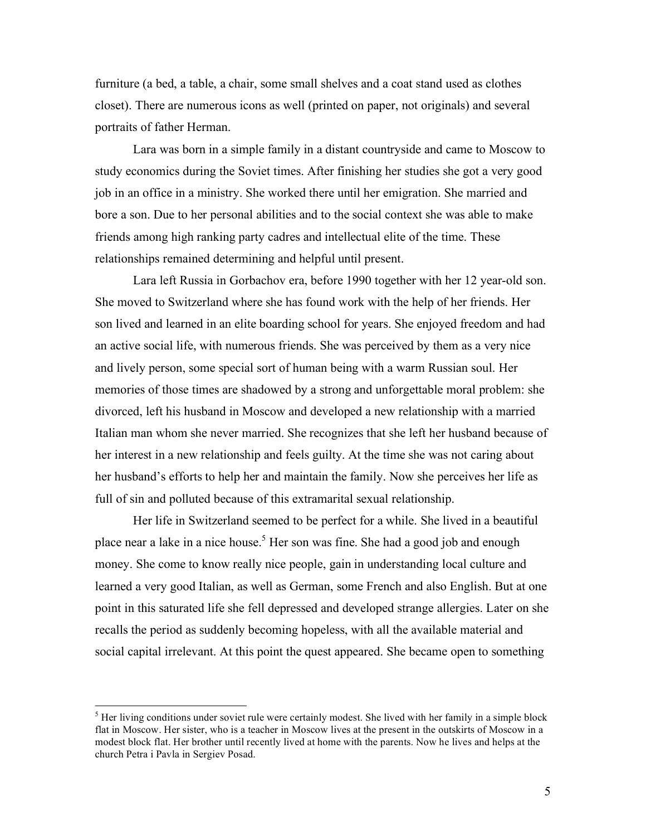furniture (a bed, a table, a chair, some small shelves and a coat stand used as clothes closet). There are numerous icons as well (printed on paper, not originals) and several portraits of father Herman.

Lara was born in a simple family in a distant countryside and came to Moscow to study economics during the Soviet times. After finishing her studies she got a very good job in an office in a ministry. She worked there until her emigration. She married and bore a son. Due to her personal abilities and to the social context she was able to make friends among high ranking party cadres and intellectual elite of the time. These relationships remained determining and helpful until present.

Lara left Russia in Gorbachov era, before 1990 together with her 12 year-old son. She moved to Switzerland where she has found work with the help of her friends. Her son lived and learned in an elite boarding school for years. She enjoyed freedom and had an active social life, with numerous friends. She was perceived by them as a very nice and lively person, some special sort of human being with a warm Russian soul. Her memories of those times are shadowed by a strong and unforgettable moral problem: she divorced, left his husband in Moscow and developed a new relationship with a married Italian man whom she never married. She recognizes that she left her husband because of her interest in a new relationship and feels guilty. At the time she was not caring about her husband's efforts to help her and maintain the family. Now she perceives her life as full of sin and polluted because of this extramarital sexual relationship.

Her life in Switzerland seemed to be perfect for a while. She lived in a beautiful place near a lake in a nice house.<sup>5</sup> Her son was fine. She had a good job and enough money. She come to know really nice people, gain in understanding local culture and learned a very good Italian, as well as German, some French and also English. But at one point in this saturated life she fell depressed and developed strange allergies. Later on she recalls the period as suddenly becoming hopeless, with all the available material and social capital irrelevant. At this point the quest appeared. She became open to something

 $<sup>5</sup>$  Her living conditions under soviet rule were certainly modest. She lived with her family in a simple block</sup> flat in Moscow. Her sister, who is a teacher in Moscow lives at the present in the outskirts of Moscow in a modest block flat. Her brother until recently lived at home with the parents. Now he lives and helps at the church Petra i Pavla in Sergiev Posad.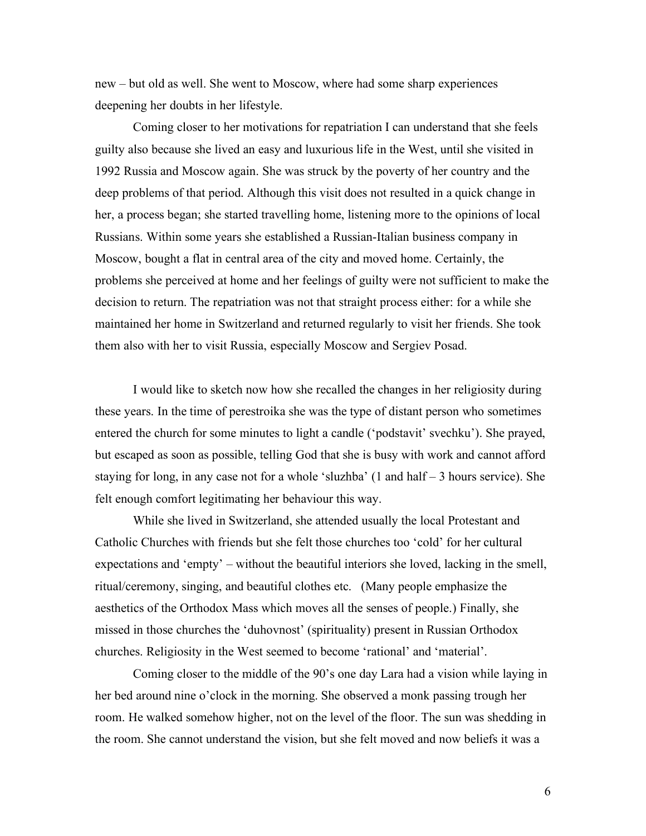new – but old as well. She went to Moscow, where had some sharp experiences deepening her doubts in her lifestyle.

Coming closer to her motivations for repatriation I can understand that she feels guilty also because she lived an easy and luxurious life in the West, until she visited in 1992 Russia and Moscow again. She was struck by the poverty of her country and the deep problems of that period. Although this visit does not resulted in a quick change in her, a process began; she started travelling home, listening more to the opinions of local Russians. Within some years she established a Russian-Italian business company in Moscow, bought a flat in central area of the city and moved home. Certainly, the problems she perceived at home and her feelings of guilty were not sufficient to make the decision to return. The repatriation was not that straight process either: for a while she maintained her home in Switzerland and returned regularly to visit her friends. She took them also with her to visit Russia, especially Moscow and Sergiev Posad.

I would like to sketch now how she recalled the changes in her religiosity during these years. In the time of perestroika she was the type of distant person who sometimes entered the church for some minutes to light a candle ('podstavit' svechku'). She prayed, but escaped as soon as possible, telling God that she is busy with work and cannot afford staying for long, in any case not for a whole 'sluzhba' (1 and half – 3 hours service). She felt enough comfort legitimating her behaviour this way.

While she lived in Switzerland, she attended usually the local Protestant and Catholic Churches with friends but she felt those churches too 'cold' for her cultural expectations and 'empty' – without the beautiful interiors she loved, lacking in the smell, ritual/ceremony, singing, and beautiful clothes etc. (Many people emphasize the aesthetics of the Orthodox Mass which moves all the senses of people.) Finally, she missed in those churches the 'duhovnost' (spirituality) present in Russian Orthodox churches. Religiosity in the West seemed to become 'rational' and 'material'.

Coming closer to the middle of the 90's one day Lara had a vision while laying in her bed around nine o'clock in the morning. She observed a monk passing trough her room. He walked somehow higher, not on the level of the floor. The sun was shedding in the room. She cannot understand the vision, but she felt moved and now beliefs it was a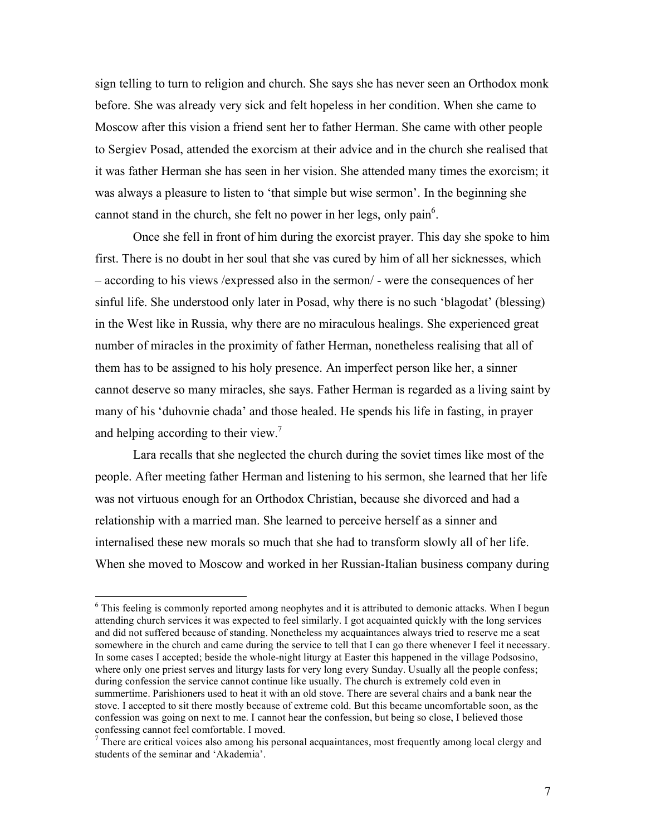sign telling to turn to religion and church. She says she has never seen an Orthodox monk before. She was already very sick and felt hopeless in her condition. When she came to Moscow after this vision a friend sent her to father Herman. She came with other people to Sergiev Posad, attended the exorcism at their advice and in the church she realised that it was father Herman she has seen in her vision. She attended many times the exorcism; it was always a pleasure to listen to 'that simple but wise sermon'. In the beginning she cannot stand in the church, she felt no power in her legs, only pain<sup>6</sup>.

Once she fell in front of him during the exorcist prayer. This day she spoke to him first. There is no doubt in her soul that she vas cured by him of all her sicknesses, which – according to his views /expressed also in the sermon/ - were the consequences of her sinful life. She understood only later in Posad, why there is no such 'blagodat' (blessing) in the West like in Russia, why there are no miraculous healings. She experienced great number of miracles in the proximity of father Herman, nonetheless realising that all of them has to be assigned to his holy presence. An imperfect person like her, a sinner cannot deserve so many miracles, she says. Father Herman is regarded as a living saint by many of his 'duhovnie chada' and those healed. He spends his life in fasting, in prayer and helping according to their view.<sup>7</sup>

Lara recalls that she neglected the church during the soviet times like most of the people. After meeting father Herman and listening to his sermon, she learned that her life was not virtuous enough for an Orthodox Christian, because she divorced and had a relationship with a married man. She learned to perceive herself as a sinner and internalised these new morals so much that she had to transform slowly all of her life. When she moved to Moscow and worked in her Russian-Italian business company during

<sup>&</sup>lt;sup>6</sup> This feeling is commonly reported among neophytes and it is attributed to demonic attacks. When I begun attending church services it was expected to feel similarly. I got acquainted quickly with the long services and did not suffered because of standing. Nonetheless my acquaintances always tried to reserve me a seat somewhere in the church and came during the service to tell that I can go there whenever I feel it necessary. In some cases I accepted; beside the whole-night liturgy at Easter this happened in the village Podsosino, where only one priest serves and liturgy lasts for very long every Sunday. Usually all the people confess; during confession the service cannot continue like usually. The church is extremely cold even in summertime. Parishioners used to heat it with an old stove. There are several chairs and a bank near the stove. I accepted to sit there mostly because of extreme cold. But this became uncomfortable soon, as the confession was going on next to me. I cannot hear the confession, but being so close, I believed those confessing cannot feel comfortable. I moved.<br><sup>7</sup> There are critical voices also among his personal acquaintances, most frequently among local clergy and

students of the seminar and 'Akademia'.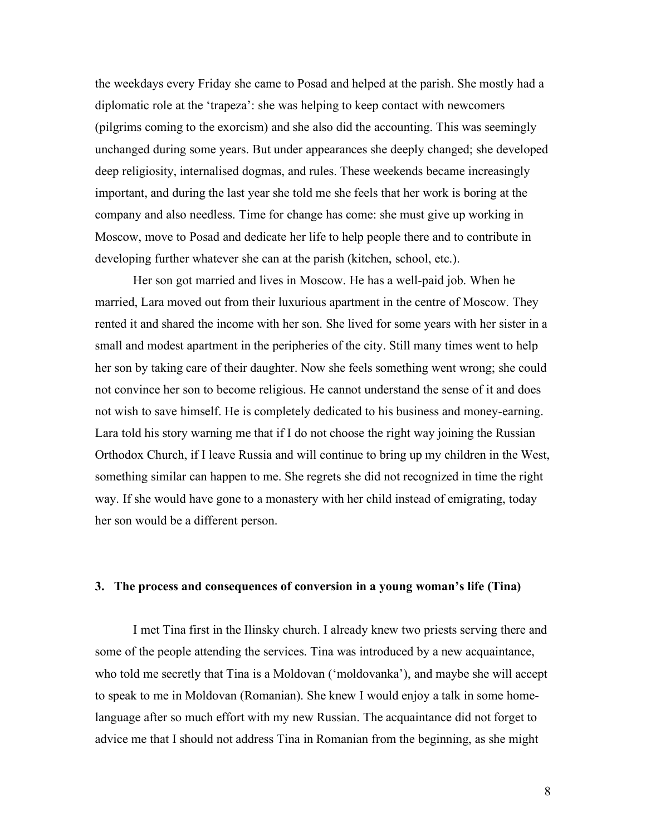the weekdays every Friday she came to Posad and helped at the parish. She mostly had a diplomatic role at the 'trapeza': she was helping to keep contact with newcomers (pilgrims coming to the exorcism) and she also did the accounting. This was seemingly unchanged during some years. But under appearances she deeply changed; she developed deep religiosity, internalised dogmas, and rules. These weekends became increasingly important, and during the last year she told me she feels that her work is boring at the company and also needless. Time for change has come: she must give up working in Moscow, move to Posad and dedicate her life to help people there and to contribute in developing further whatever she can at the parish (kitchen, school, etc.).

Her son got married and lives in Moscow. He has a well-paid job. When he married, Lara moved out from their luxurious apartment in the centre of Moscow. They rented it and shared the income with her son. She lived for some years with her sister in a small and modest apartment in the peripheries of the city. Still many times went to help her son by taking care of their daughter. Now she feels something went wrong; she could not convince her son to become religious. He cannot understand the sense of it and does not wish to save himself. He is completely dedicated to his business and money-earning. Lara told his story warning me that if I do not choose the right way joining the Russian Orthodox Church, if I leave Russia and will continue to bring up my children in the West, something similar can happen to me. She regrets she did not recognized in time the right way. If she would have gone to a monastery with her child instead of emigrating, today her son would be a different person.

## **3. The process and consequences of conversion in a young woman's life (Tina)**

I met Tina first in the Ilinsky church. I already knew two priests serving there and some of the people attending the services. Tina was introduced by a new acquaintance, who told me secretly that Tina is a Moldovan ('moldovanka'), and maybe she will accept to speak to me in Moldovan (Romanian). She knew I would enjoy a talk in some homelanguage after so much effort with my new Russian. The acquaintance did not forget to advice me that I should not address Tina in Romanian from the beginning, as she might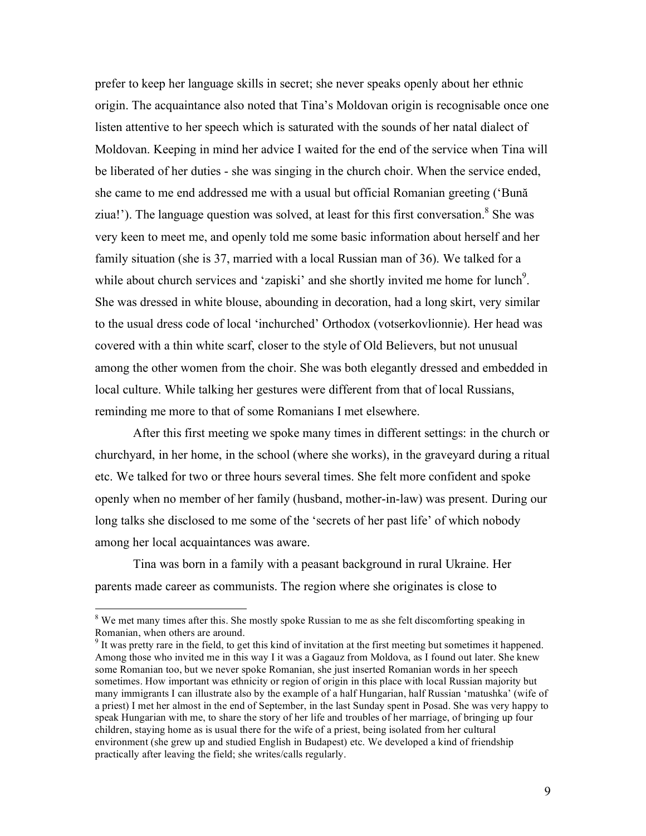prefer to keep her language skills in secret; she never speaks openly about her ethnic origin. The acquaintance also noted that Tina's Moldovan origin is recognisable once one listen attentive to her speech which is saturated with the sounds of her natal dialect of Moldovan. Keeping in mind her advice I waited for the end of the service when Tina will be liberated of her duties - she was singing in the church choir. When the service ended, she came to me end addressed me with a usual but official Romanian greeting ('Bună ziua!'). The language question was solved, at least for this first conversation.<sup>8</sup> She was very keen to meet me, and openly told me some basic information about herself and her family situation (she is 37, married with a local Russian man of 36). We talked for a while about church services and 'zapiski' and she shortly invited me home for lunch<sup>9</sup>. She was dressed in white blouse, abounding in decoration, had a long skirt, very similar to the usual dress code of local 'inchurched' Orthodox (votserkovlionnie). Her head was covered with a thin white scarf, closer to the style of Old Believers, but not unusual among the other women from the choir. She was both elegantly dressed and embedded in local culture. While talking her gestures were different from that of local Russians, reminding me more to that of some Romanians I met elsewhere.

After this first meeting we spoke many times in different settings: in the church or churchyard, in her home, in the school (where she works), in the graveyard during a ritual etc. We talked for two or three hours several times. She felt more confident and spoke openly when no member of her family (husband, mother-in-law) was present. During our long talks she disclosed to me some of the 'secrets of her past life' of which nobody among her local acquaintances was aware.

Tina was born in a family with a peasant background in rural Ukraine. Her parents made career as communists. The region where she originates is close to

<sup>&</sup>lt;sup>8</sup> We met many times after this. She mostly spoke Russian to me as she felt discomforting speaking in Romanian, when others are around.<br><sup>9</sup> It was pretty rare in the field, to get this kind of invitation at the first meeting but sometimes it happened.

Among those who invited me in this way I it was a Gagauz from Moldova, as I found out later. She knew some Romanian too, but we never spoke Romanian, she just inserted Romanian words in her speech sometimes. How important was ethnicity or region of origin in this place with local Russian majority but many immigrants I can illustrate also by the example of a half Hungarian, half Russian 'matushka' (wife of a priest) I met her almost in the end of September, in the last Sunday spent in Posad. She was very happy to speak Hungarian with me, to share the story of her life and troubles of her marriage, of bringing up four children, staying home as is usual there for the wife of a priest, being isolated from her cultural environment (she grew up and studied English in Budapest) etc. We developed a kind of friendship practically after leaving the field; she writes/calls regularly.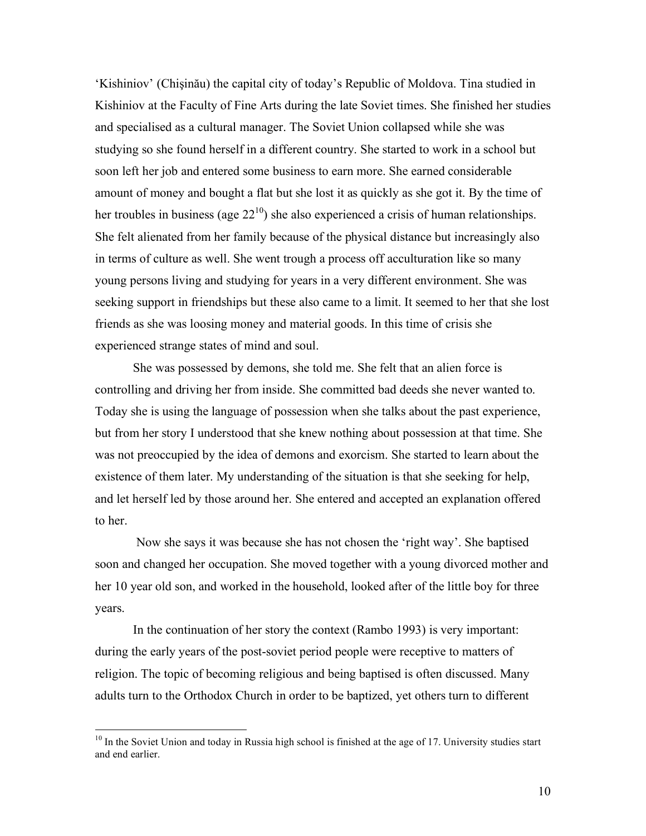'Kishiniov' (Chişinău) the capital city of today's Republic of Moldova. Tina studied in Kishiniov at the Faculty of Fine Arts during the late Soviet times. She finished her studies and specialised as a cultural manager. The Soviet Union collapsed while she was studying so she found herself in a different country. She started to work in a school but soon left her job and entered some business to earn more. She earned considerable amount of money and bought a flat but she lost it as quickly as she got it. By the time of her troubles in business (age  $22^{10}$ ) she also experienced a crisis of human relationships. She felt alienated from her family because of the physical distance but increasingly also in terms of culture as well. She went trough a process off acculturation like so many young persons living and studying for years in a very different environment. She was seeking support in friendships but these also came to a limit. It seemed to her that she lost friends as she was loosing money and material goods. In this time of crisis she experienced strange states of mind and soul.

She was possessed by demons, she told me. She felt that an alien force is controlling and driving her from inside. She committed bad deeds she never wanted to. Today she is using the language of possession when she talks about the past experience, but from her story I understood that she knew nothing about possession at that time. She was not preoccupied by the idea of demons and exorcism. She started to learn about the existence of them later. My understanding of the situation is that she seeking for help, and let herself led by those around her. She entered and accepted an explanation offered to her.

Now she says it was because she has not chosen the 'right way'. She baptised soon and changed her occupation. She moved together with a young divorced mother and her 10 year old son, and worked in the household, looked after of the little boy for three years.

In the continuation of her story the context (Rambo 1993) is very important: during the early years of the post-soviet period people were receptive to matters of religion. The topic of becoming religious and being baptised is often discussed. Many adults turn to the Orthodox Church in order to be baptized, yet others turn to different

<sup>&</sup>lt;sup>10</sup> In the Soviet Union and today in Russia high school is finished at the age of 17. University studies start and end earlier.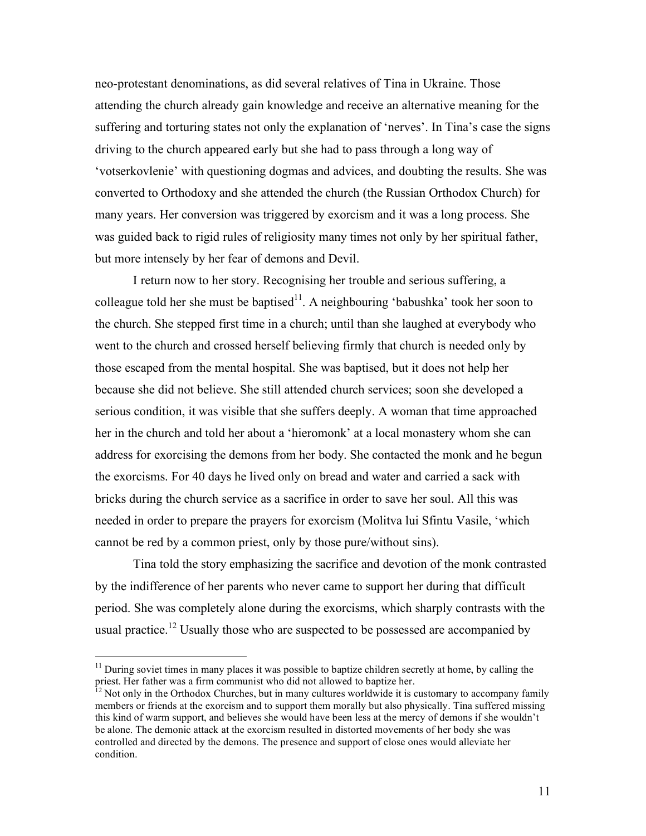neo-protestant denominations, as did several relatives of Tina in Ukraine. Those attending the church already gain knowledge and receive an alternative meaning for the suffering and torturing states not only the explanation of 'nerves'. In Tina's case the signs driving to the church appeared early but she had to pass through a long way of 'votserkovlenie' with questioning dogmas and advices, and doubting the results. She was converted to Orthodoxy and she attended the church (the Russian Orthodox Church) for many years. Her conversion was triggered by exorcism and it was a long process. She was guided back to rigid rules of religiosity many times not only by her spiritual father, but more intensely by her fear of demons and Devil.

I return now to her story. Recognising her trouble and serious suffering, a colleague told her she must be baptised<sup>11</sup>. A neighbouring 'babushka' took her soon to the church. She stepped first time in a church; until than she laughed at everybody who went to the church and crossed herself believing firmly that church is needed only by those escaped from the mental hospital. She was baptised, but it does not help her because she did not believe. She still attended church services; soon she developed a serious condition, it was visible that she suffers deeply. A woman that time approached her in the church and told her about a 'hieromonk' at a local monastery whom she can address for exorcising the demons from her body. She contacted the monk and he begun the exorcisms. For 40 days he lived only on bread and water and carried a sack with bricks during the church service as a sacrifice in order to save her soul. All this was needed in order to prepare the prayers for exorcism (Molitva lui Sfintu Vasile, 'which cannot be red by a common priest, only by those pure/without sins).

Tina told the story emphasizing the sacrifice and devotion of the monk contrasted by the indifference of her parents who never came to support her during that difficult period. She was completely alone during the exorcisms, which sharply contrasts with the usual practice.<sup>12</sup> Usually those who are suspected to be possessed are accompanied by

 $11$  During soviet times in many places it was possible to baptize children secretly at home, by calling the priest. Her father was a firm communist who did not allowed to baptize her.

 $12$  Not only in the Orthodox Churches, but in many cultures worldwide it is customary to accompany family members or friends at the exorcism and to support them morally but also physically. Tina suffered missing this kind of warm support, and believes she would have been less at the mercy of demons if she wouldn't be alone. The demonic attack at the exorcism resulted in distorted movements of her body she was controlled and directed by the demons. The presence and support of close ones would alleviate her condition.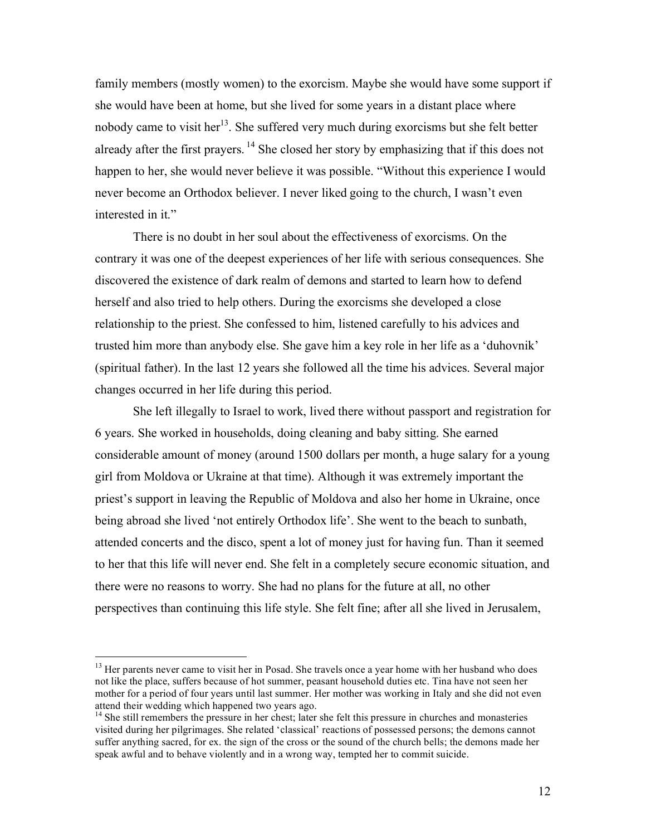family members (mostly women) to the exorcism. Maybe she would have some support if she would have been at home, but she lived for some years in a distant place where nobody came to visit her<sup>13</sup>. She suffered very much during exorcisms but she felt better already after the first prayers.<sup>14</sup> She closed her story by emphasizing that if this does not happen to her, she would never believe it was possible. "Without this experience I would never become an Orthodox believer. I never liked going to the church, I wasn't even interested in it."

There is no doubt in her soul about the effectiveness of exorcisms. On the contrary it was one of the deepest experiences of her life with serious consequences. She discovered the existence of dark realm of demons and started to learn how to defend herself and also tried to help others. During the exorcisms she developed a close relationship to the priest. She confessed to him, listened carefully to his advices and trusted him more than anybody else. She gave him a key role in her life as a 'duhovnik' (spiritual father). In the last 12 years she followed all the time his advices. Several major changes occurred in her life during this period.

She left illegally to Israel to work, lived there without passport and registration for 6 years. She worked in households, doing cleaning and baby sitting. She earned considerable amount of money (around 1500 dollars per month, a huge salary for a young girl from Moldova or Ukraine at that time). Although it was extremely important the priest's support in leaving the Republic of Moldova and also her home in Ukraine, once being abroad she lived 'not entirely Orthodox life'. She went to the beach to sunbath, attended concerts and the disco, spent a lot of money just for having fun. Than it seemed to her that this life will never end. She felt in a completely secure economic situation, and there were no reasons to worry. She had no plans for the future at all, no other perspectives than continuing this life style. She felt fine; after all she lived in Jerusalem,

<sup>&</sup>lt;sup>13</sup> Her parents never came to visit her in Posad. She travels once a year home with her husband who does not like the place, suffers because of hot summer, peasant household duties etc. Tina have not seen her mother for a period of four years until last summer. Her mother was working in Italy and she did not even attend their wedding which happened two years ago.<br><sup>14</sup> She still remembers the pressure in her chest; later she felt this pressure in churches and monasteries

visited during her pilgrimages. She related 'classical' reactions of possessed persons; the demons cannot suffer anything sacred, for ex. the sign of the cross or the sound of the church bells; the demons made her speak awful and to behave violently and in a wrong way, tempted her to commit suicide.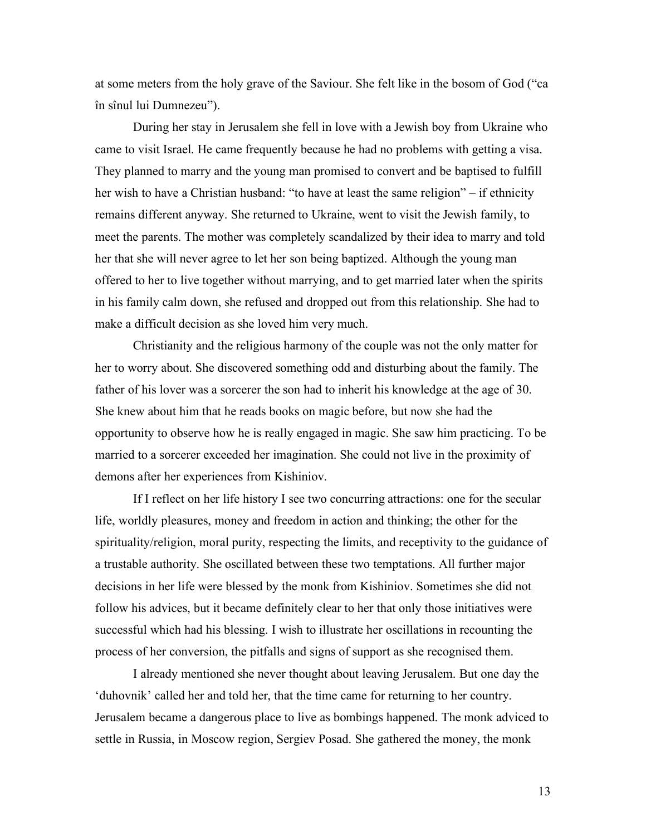at some meters from the holy grave of the Saviour. She felt like in the bosom of God ("ca în sînul lui Dumnezeu").

During her stay in Jerusalem she fell in love with a Jewish boy from Ukraine who came to visit Israel. He came frequently because he had no problems with getting a visa. They planned to marry and the young man promised to convert and be baptised to fulfill her wish to have a Christian husband: "to have at least the same religion" – if ethnicity remains different anyway. She returned to Ukraine, went to visit the Jewish family, to meet the parents. The mother was completely scandalized by their idea to marry and told her that she will never agree to let her son being baptized. Although the young man offered to her to live together without marrying, and to get married later when the spirits in his family calm down, she refused and dropped out from this relationship. She had to make a difficult decision as she loved him very much.

Christianity and the religious harmony of the couple was not the only matter for her to worry about. She discovered something odd and disturbing about the family. The father of his lover was a sorcerer the son had to inherit his knowledge at the age of 30. She knew about him that he reads books on magic before, but now she had the opportunity to observe how he is really engaged in magic. She saw him practicing. To be married to a sorcerer exceeded her imagination. She could not live in the proximity of demons after her experiences from Kishiniov.

If I reflect on her life history I see two concurring attractions: one for the secular life, worldly pleasures, money and freedom in action and thinking; the other for the spirituality/religion, moral purity, respecting the limits, and receptivity to the guidance of a trustable authority. She oscillated between these two temptations. All further major decisions in her life were blessed by the monk from Kishiniov. Sometimes she did not follow his advices, but it became definitely clear to her that only those initiatives were successful which had his blessing. I wish to illustrate her oscillations in recounting the process of her conversion, the pitfalls and signs of support as she recognised them.

I already mentioned she never thought about leaving Jerusalem. But one day the 'duhovnik' called her and told her, that the time came for returning to her country. Jerusalem became a dangerous place to live as bombings happened. The monk adviced to settle in Russia, in Moscow region, Sergiev Posad. She gathered the money, the monk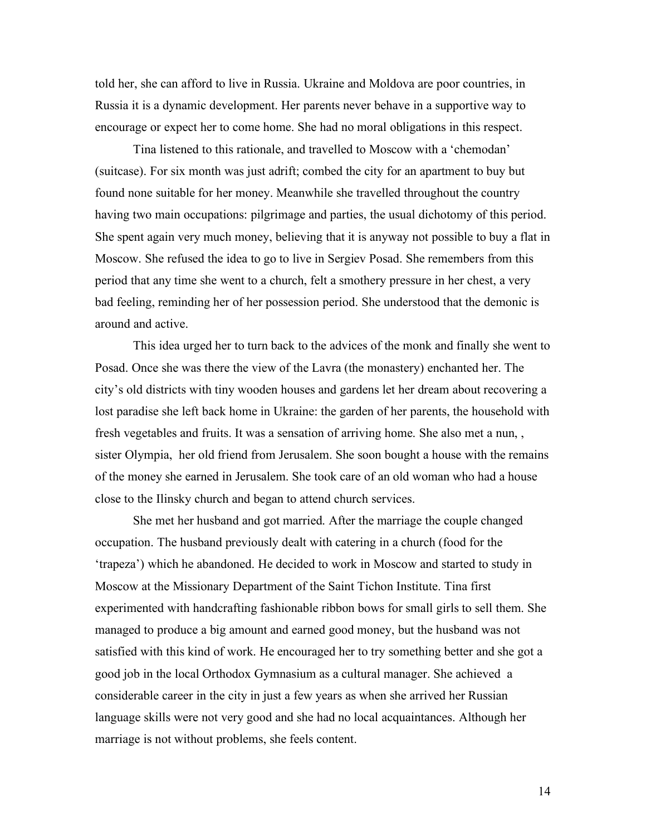told her, she can afford to live in Russia. Ukraine and Moldova are poor countries, in Russia it is a dynamic development. Her parents never behave in a supportive way to encourage or expect her to come home. She had no moral obligations in this respect.

Tina listened to this rationale, and travelled to Moscow with a 'chemodan' (suitcase). For six month was just adrift; combed the city for an apartment to buy but found none suitable for her money. Meanwhile she travelled throughout the country having two main occupations: pilgrimage and parties, the usual dichotomy of this period. She spent again very much money, believing that it is anyway not possible to buy a flat in Moscow. She refused the idea to go to live in Sergiev Posad. She remembers from this period that any time she went to a church, felt a smothery pressure in her chest, a very bad feeling, reminding her of her possession period. She understood that the demonic is around and active.

This idea urged her to turn back to the advices of the monk and finally she went to Posad. Once she was there the view of the Lavra (the monastery) enchanted her. The city's old districts with tiny wooden houses and gardens let her dream about recovering a lost paradise she left back home in Ukraine: the garden of her parents, the household with fresh vegetables and fruits. It was a sensation of arriving home. She also met a nun, , sister Olympia, her old friend from Jerusalem. She soon bought a house with the remains of the money she earned in Jerusalem. She took care of an old woman who had a house close to the Ilinsky church and began to attend church services.

She met her husband and got married. After the marriage the couple changed occupation. The husband previously dealt with catering in a church (food for the 'trapeza') which he abandoned. He decided to work in Moscow and started to study in Moscow at the Missionary Department of the Saint Tichon Institute. Tina first experimented with handcrafting fashionable ribbon bows for small girls to sell them. She managed to produce a big amount and earned good money, but the husband was not satisfied with this kind of work. He encouraged her to try something better and she got a good job in the local Orthodox Gymnasium as a cultural manager. She achieved a considerable career in the city in just a few years as when she arrived her Russian language skills were not very good and she had no local acquaintances. Although her marriage is not without problems, she feels content.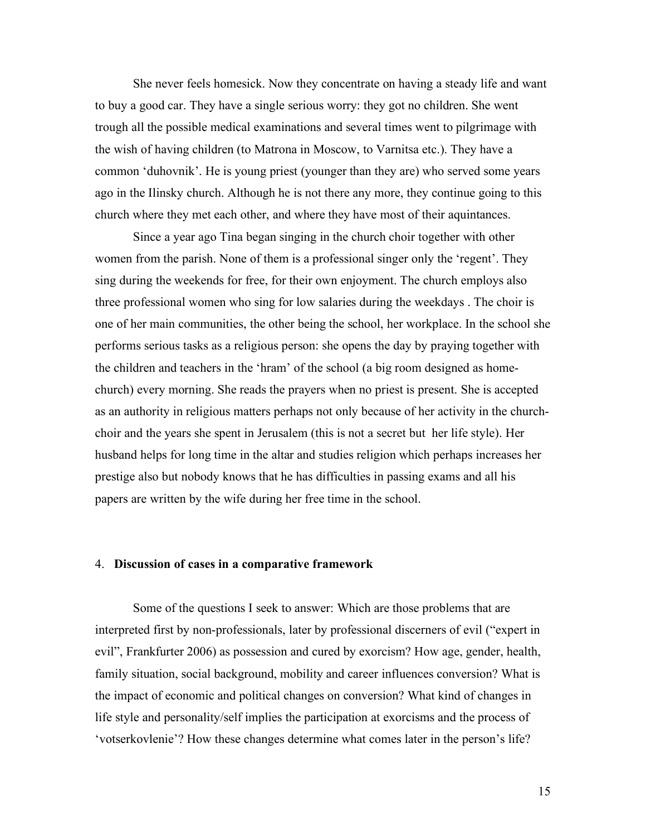She never feels homesick. Now they concentrate on having a steady life and want to buy a good car. They have a single serious worry: they got no children. She went trough all the possible medical examinations and several times went to pilgrimage with the wish of having children (to Matrona in Moscow, to Varnitsa etc.). They have a common 'duhovnik'. He is young priest (younger than they are) who served some years ago in the Ilinsky church. Although he is not there any more, they continue going to this church where they met each other, and where they have most of their aquintances.

Since a year ago Tina began singing in the church choir together with other women from the parish. None of them is a professional singer only the 'regent'. They sing during the weekends for free, for their own enjoyment. The church employs also three professional women who sing for low salaries during the weekdays . The choir is one of her main communities, the other being the school, her workplace. In the school she performs serious tasks as a religious person: she opens the day by praying together with the children and teachers in the 'hram' of the school (a big room designed as homechurch) every morning. She reads the prayers when no priest is present. She is accepted as an authority in religious matters perhaps not only because of her activity in the churchchoir and the years she spent in Jerusalem (this is not a secret but her life style). Her husband helps for long time in the altar and studies religion which perhaps increases her prestige also but nobody knows that he has difficulties in passing exams and all his papers are written by the wife during her free time in the school.

#### 4. **Discussion of cases in a comparative framework**

Some of the questions I seek to answer: Which are those problems that are interpreted first by non-professionals, later by professional discerners of evil ("expert in evil", Frankfurter 2006) as possession and cured by exorcism? How age, gender, health, family situation, social background, mobility and career influences conversion? What is the impact of economic and political changes on conversion? What kind of changes in life style and personality/self implies the participation at exorcisms and the process of 'votserkovlenie'? How these changes determine what comes later in the person's life?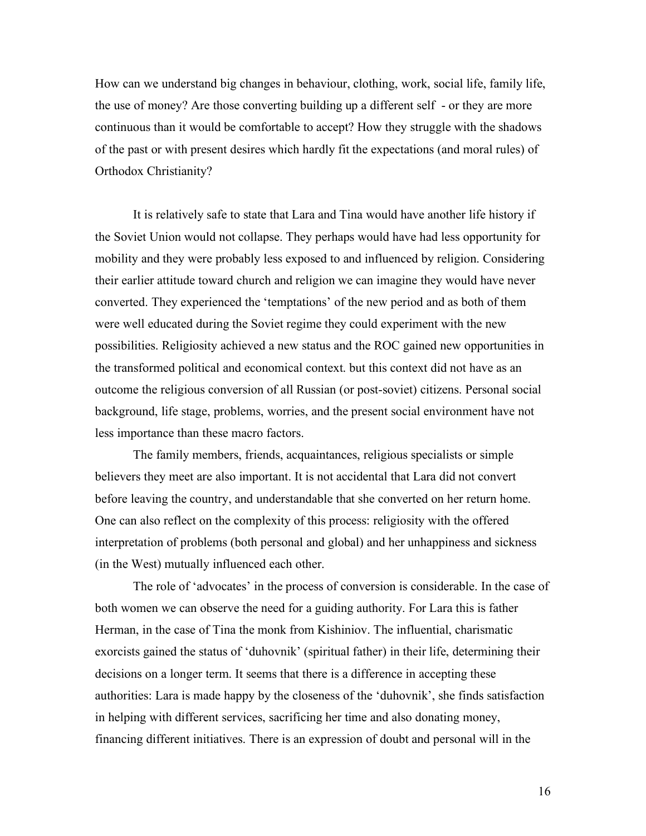How can we understand big changes in behaviour, clothing, work, social life, family life, the use of money? Are those converting building up a different self - or they are more continuous than it would be comfortable to accept? How they struggle with the shadows of the past or with present desires which hardly fit the expectations (and moral rules) of Orthodox Christianity?

It is relatively safe to state that Lara and Tina would have another life history if the Soviet Union would not collapse. They perhaps would have had less opportunity for mobility and they were probably less exposed to and influenced by religion. Considering their earlier attitude toward church and religion we can imagine they would have never converted. They experienced the 'temptations' of the new period and as both of them were well educated during the Soviet regime they could experiment with the new possibilities. Religiosity achieved a new status and the ROC gained new opportunities in the transformed political and economical context. but this context did not have as an outcome the religious conversion of all Russian (or post-soviet) citizens. Personal social background, life stage, problems, worries, and the present social environment have not less importance than these macro factors.

The family members, friends, acquaintances, religious specialists or simple believers they meet are also important. It is not accidental that Lara did not convert before leaving the country, and understandable that she converted on her return home. One can also reflect on the complexity of this process: religiosity with the offered interpretation of problems (both personal and global) and her unhappiness and sickness (in the West) mutually influenced each other.

The role of 'advocates' in the process of conversion is considerable. In the case of both women we can observe the need for a guiding authority. For Lara this is father Herman, in the case of Tina the monk from Kishiniov. The influential, charismatic exorcists gained the status of 'duhovnik' (spiritual father) in their life, determining their decisions on a longer term. It seems that there is a difference in accepting these authorities: Lara is made happy by the closeness of the 'duhovnik', she finds satisfaction in helping with different services, sacrificing her time and also donating money, financing different initiatives. There is an expression of doubt and personal will in the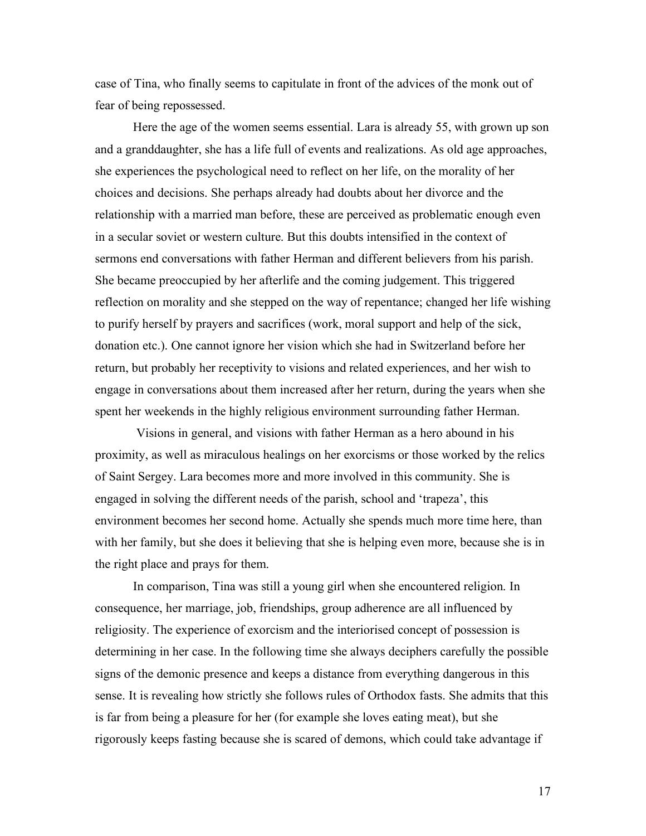case of Tina, who finally seems to capitulate in front of the advices of the monk out of fear of being repossessed.

Here the age of the women seems essential. Lara is already 55, with grown up son and a granddaughter, she has a life full of events and realizations. As old age approaches, she experiences the psychological need to reflect on her life, on the morality of her choices and decisions. She perhaps already had doubts about her divorce and the relationship with a married man before, these are perceived as problematic enough even in a secular soviet or western culture. But this doubts intensified in the context of sermons end conversations with father Herman and different believers from his parish. She became preoccupied by her afterlife and the coming judgement. This triggered reflection on morality and she stepped on the way of repentance; changed her life wishing to purify herself by prayers and sacrifices (work, moral support and help of the sick, donation etc.). One cannot ignore her vision which she had in Switzerland before her return, but probably her receptivity to visions and related experiences, and her wish to engage in conversations about them increased after her return, during the years when she spent her weekends in the highly religious environment surrounding father Herman.

Visions in general, and visions with father Herman as a hero abound in his proximity, as well as miraculous healings on her exorcisms or those worked by the relics of Saint Sergey. Lara becomes more and more involved in this community. She is engaged in solving the different needs of the parish, school and 'trapeza', this environment becomes her second home. Actually she spends much more time here, than with her family, but she does it believing that she is helping even more, because she is in the right place and prays for them.

In comparison, Tina was still a young girl when she encountered religion. In consequence, her marriage, job, friendships, group adherence are all influenced by religiosity. The experience of exorcism and the interiorised concept of possession is determining in her case. In the following time she always deciphers carefully the possible signs of the demonic presence and keeps a distance from everything dangerous in this sense. It is revealing how strictly she follows rules of Orthodox fasts. She admits that this is far from being a pleasure for her (for example she loves eating meat), but she rigorously keeps fasting because she is scared of demons, which could take advantage if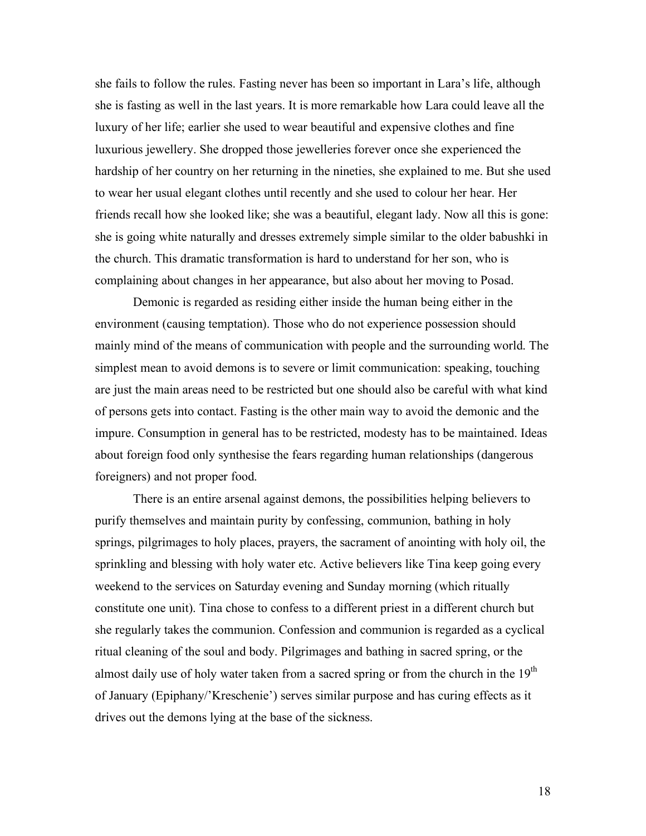she fails to follow the rules. Fasting never has been so important in Lara's life, although she is fasting as well in the last years. It is more remarkable how Lara could leave all the luxury of her life; earlier she used to wear beautiful and expensive clothes and fine luxurious jewellery. She dropped those jewelleries forever once she experienced the hardship of her country on her returning in the nineties, she explained to me. But she used to wear her usual elegant clothes until recently and she used to colour her hear. Her friends recall how she looked like; she was a beautiful, elegant lady. Now all this is gone: she is going white naturally and dresses extremely simple similar to the older babushki in the church. This dramatic transformation is hard to understand for her son, who is complaining about changes in her appearance, but also about her moving to Posad.

Demonic is regarded as residing either inside the human being either in the environment (causing temptation). Those who do not experience possession should mainly mind of the means of communication with people and the surrounding world. The simplest mean to avoid demons is to severe or limit communication: speaking, touching are just the main areas need to be restricted but one should also be careful with what kind of persons gets into contact. Fasting is the other main way to avoid the demonic and the impure. Consumption in general has to be restricted, modesty has to be maintained. Ideas about foreign food only synthesise the fears regarding human relationships (dangerous foreigners) and not proper food.

There is an entire arsenal against demons, the possibilities helping believers to purify themselves and maintain purity by confessing, communion, bathing in holy springs, pilgrimages to holy places, prayers, the sacrament of anointing with holy oil, the sprinkling and blessing with holy water etc. Active believers like Tina keep going every weekend to the services on Saturday evening and Sunday morning (which ritually constitute one unit). Tina chose to confess to a different priest in a different church but she regularly takes the communion. Confession and communion is regarded as a cyclical ritual cleaning of the soul and body. Pilgrimages and bathing in sacred spring, or the almost daily use of holy water taken from a sacred spring or from the church in the  $19<sup>th</sup>$ of January (Epiphany/'Kreschenie') serves similar purpose and has curing effects as it drives out the demons lying at the base of the sickness.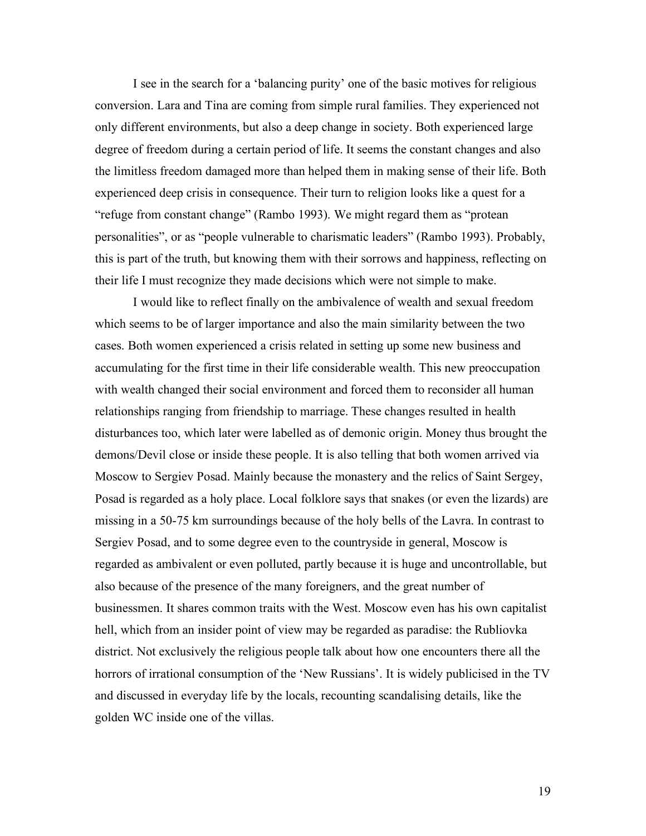I see in the search for a 'balancing purity' one of the basic motives for religious conversion. Lara and Tina are coming from simple rural families. They experienced not only different environments, but also a deep change in society. Both experienced large degree of freedom during a certain period of life. It seems the constant changes and also the limitless freedom damaged more than helped them in making sense of their life. Both experienced deep crisis in consequence. Their turn to religion looks like a quest for a "refuge from constant change" (Rambo 1993). We might regard them as "protean personalities", or as "people vulnerable to charismatic leaders" (Rambo 1993). Probably, this is part of the truth, but knowing them with their sorrows and happiness, reflecting on their life I must recognize they made decisions which were not simple to make.

I would like to reflect finally on the ambivalence of wealth and sexual freedom which seems to be of larger importance and also the main similarity between the two cases. Both women experienced a crisis related in setting up some new business and accumulating for the first time in their life considerable wealth. This new preoccupation with wealth changed their social environment and forced them to reconsider all human relationships ranging from friendship to marriage. These changes resulted in health disturbances too, which later were labelled as of demonic origin. Money thus brought the demons/Devil close or inside these people. It is also telling that both women arrived via Moscow to Sergiev Posad. Mainly because the monastery and the relics of Saint Sergey, Posad is regarded as a holy place. Local folklore says that snakes (or even the lizards) are missing in a 50-75 km surroundings because of the holy bells of the Lavra. In contrast to Sergiev Posad, and to some degree even to the countryside in general, Moscow is regarded as ambivalent or even polluted, partly because it is huge and uncontrollable, but also because of the presence of the many foreigners, and the great number of businessmen. It shares common traits with the West. Moscow even has his own capitalist hell, which from an insider point of view may be regarded as paradise: the Rubliovka district. Not exclusively the religious people talk about how one encounters there all the horrors of irrational consumption of the 'New Russians'. It is widely publicised in the TV and discussed in everyday life by the locals, recounting scandalising details, like the golden WC inside one of the villas.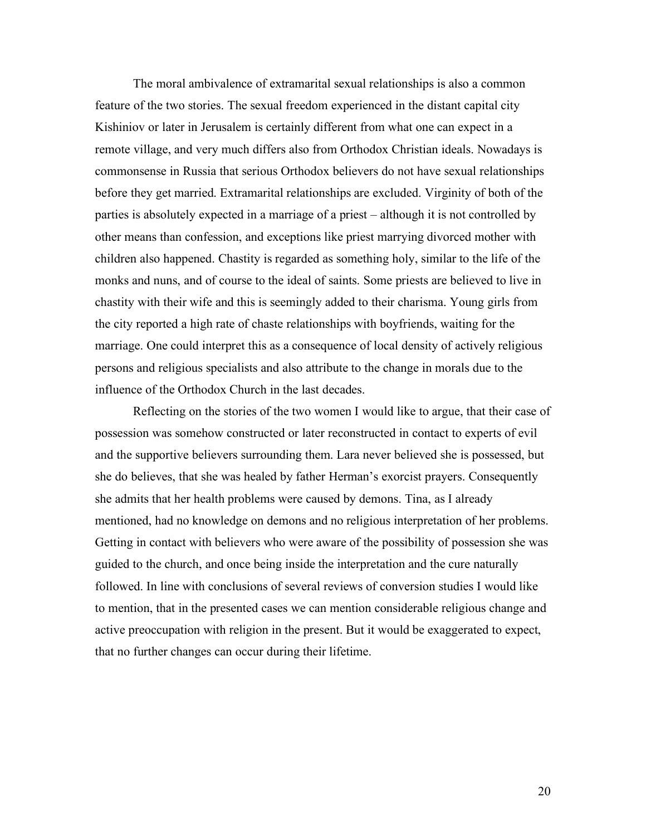The moral ambivalence of extramarital sexual relationships is also a common feature of the two stories. The sexual freedom experienced in the distant capital city Kishiniov or later in Jerusalem is certainly different from what one can expect in a remote village, and very much differs also from Orthodox Christian ideals. Nowadays is commonsense in Russia that serious Orthodox believers do not have sexual relationships before they get married. Extramarital relationships are excluded. Virginity of both of the parties is absolutely expected in a marriage of a priest – although it is not controlled by other means than confession, and exceptions like priest marrying divorced mother with children also happened. Chastity is regarded as something holy, similar to the life of the monks and nuns, and of course to the ideal of saints. Some priests are believed to live in chastity with their wife and this is seemingly added to their charisma. Young girls from the city reported a high rate of chaste relationships with boyfriends, waiting for the marriage. One could interpret this as a consequence of local density of actively religious persons and religious specialists and also attribute to the change in morals due to the influence of the Orthodox Church in the last decades.

Reflecting on the stories of the two women I would like to argue, that their case of possession was somehow constructed or later reconstructed in contact to experts of evil and the supportive believers surrounding them. Lara never believed she is possessed, but she do believes, that she was healed by father Herman's exorcist prayers. Consequently she admits that her health problems were caused by demons. Tina, as I already mentioned, had no knowledge on demons and no religious interpretation of her problems. Getting in contact with believers who were aware of the possibility of possession she was guided to the church, and once being inside the interpretation and the cure naturally followed. In line with conclusions of several reviews of conversion studies I would like to mention, that in the presented cases we can mention considerable religious change and active preoccupation with religion in the present. But it would be exaggerated to expect, that no further changes can occur during their lifetime.